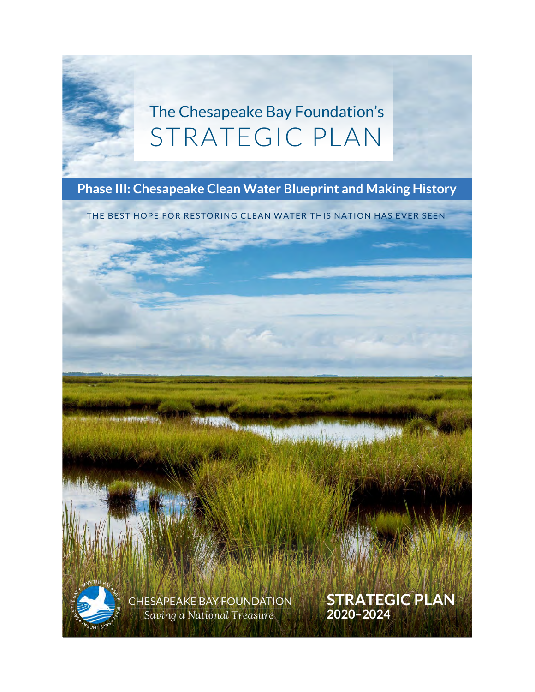# The Chesapeake Bay Foundation's STRATEGIC PLAN

### **Phase III: Chesapeake Clean Water Blueprint and Making History**

THE BEST HOPE FOR RESTORING CLEAN WATER THIS NATION HAS EVER SEEN

**SERGALIA** 



**STRATEGIC PLAN**

**2020–2024**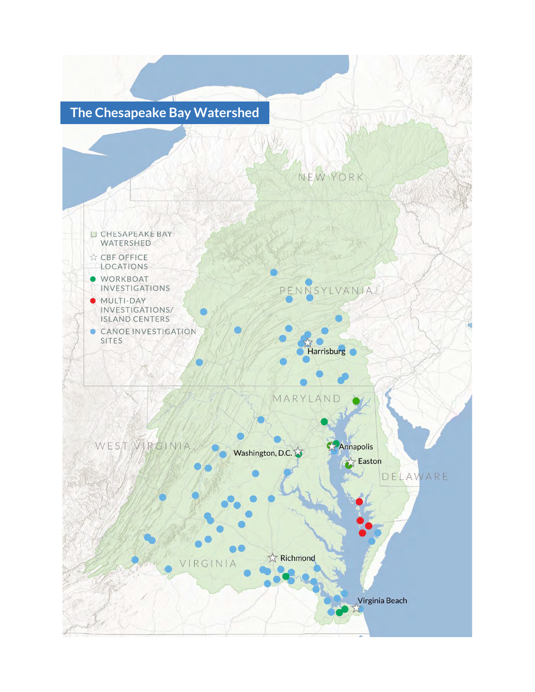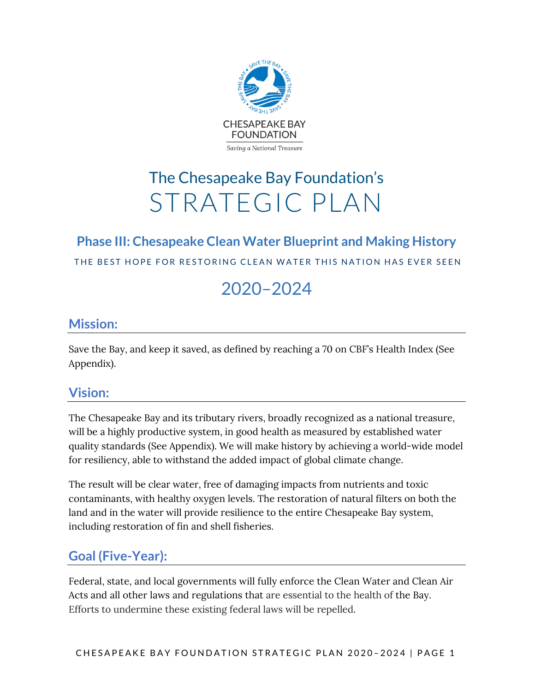

# The Chesapeake Bay Foundation's STRATEGIC PLAN

## **Phase III: Chesapeake Clean Water Blueprint and Making History**

THE BEST HOPE FOR RESTORING CLEAN WATER THIS NATION HAS EVER SEEN

## 2020–2024

### **Mission:**

Save the Bay, and keep it saved, as defined by reaching a 70 on CBF's Health Index (See Appendix).

### **Vision:**

The Chesapeake Bay and its tributary rivers, broadly recognized as a national treasure, will be a highly productive system, in good health as measured by established water quality standards (See Appendix). We will make history by achieving a world-wide model for resiliency, able to withstand the added impact of global climate change.

The result will be clear water, free of damaging impacts from nutrients and toxic contaminants, with healthy oxygen levels. The restoration of natural filters on both the land and in the water will provide resilience to the entire Chesapeake Bay system, including restoration of fin and shell fisheries.

### **Goal (Five-Year):**

Federal, state, and local governments will fully enforce the Clean Water and Clean Air Acts and all other laws and regulations that are essential to the health of the Bay. Efforts to undermine these existing federal laws will be repelled.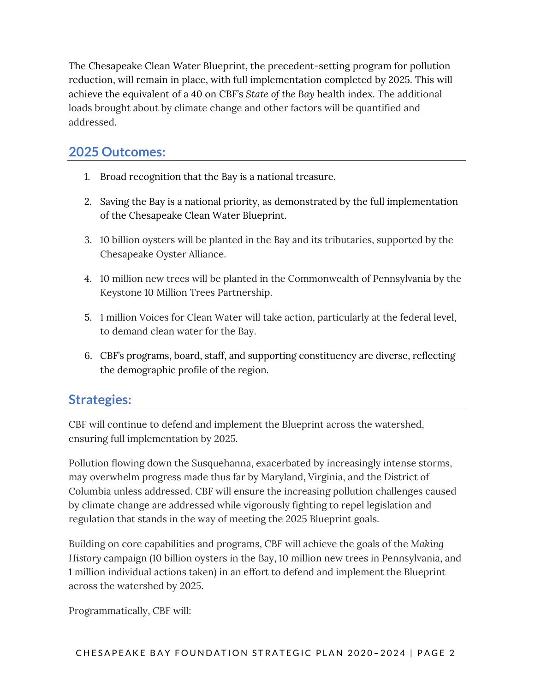The Chesapeake Clean Water Blueprint, the precedent-setting program for pollution reduction, will remain in place, with full implementation completed by 2025. This will achieve the equivalent of a 40 on CBF's *State of the Bay* health index. The additional loads brought about by climate change and other factors will be quantified and addressed.

### **2025 Outcomes:**

- 1. Broad recognition that the Bay is a national treasure.
- 2. Saving the Bay is a national priority, as demonstrated by the full implementation of the Chesapeake Clean Water Blueprint.
- 3. 10 billion oysters will be planted in the Bay and its tributaries, supported by the Chesapeake Oyster Alliance.
- 4. 10 million new trees will be planted in the Commonwealth of Pennsylvania by the Keystone 10 Million Trees Partnership.
- 5. 1 million Voices for Clean Water will take action, particularly at the federal level, to demand clean water for the Bay.
- 6. CBF's programs, board, staff, and supporting constituency are diverse, reflecting the demographic profile of the region.

### **Strategies:**

CBF will continue to defend and implement the Blueprint across the watershed, ensuring full implementation by 2025.

Pollution flowing down the Susquehanna, exacerbated by increasingly intense storms, may overwhelm progress made thus far by Maryland, Virginia, and the District of Columbia unless addressed. CBF will ensure the increasing pollution challenges caused by climate change are addressed while vigorously fighting to repel legislation and regulation that stands in the way of meeting the 2025 Blueprint goals.

Building on core capabilities and programs, CBF will achieve the goals of the *Making History* campaign (10 billion oysters in the Bay, 10 million new trees in Pennsylvania, and 1 million individual actions taken) in an effort to defend and implement the Blueprint across the watershed by 2025.

Programmatically, CBF will: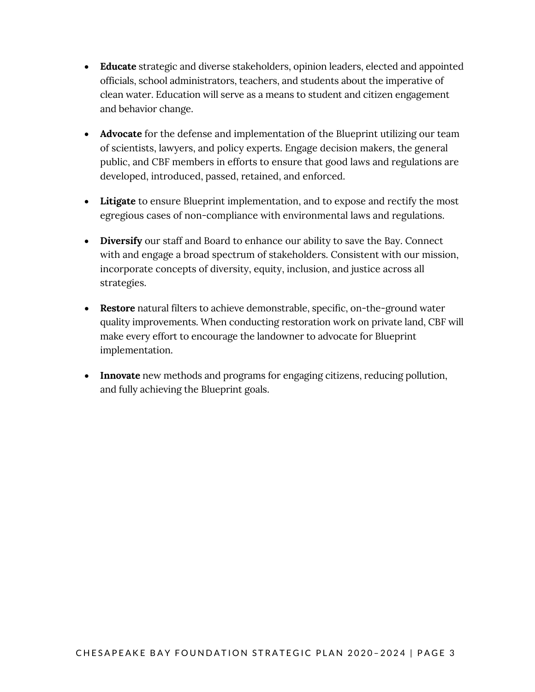- **Educate** strategic and diverse stakeholders, opinion leaders, elected and appointed officials, school administrators, teachers, and students about the imperative of clean water. Education will serve as a means to student and citizen engagement and behavior change.
- **Advocate** for the defense and implementation of the Blueprint utilizing our team of scientists, lawyers, and policy experts. Engage decision makers, the general public, and CBF members in efforts to ensure that good laws and regulations are developed, introduced, passed, retained, and enforced.
- **Litigate** to ensure Blueprint implementation, and to expose and rectify the most egregious cases of non-compliance with environmental laws and regulations.
- **Diversify** our staff and Board to enhance our ability to save the Bay. Connect with and engage a broad spectrum of stakeholders. Consistent with our mission, incorporate concepts of diversity, equity, inclusion, and justice across all strategies.
- **Restore** natural filters to achieve demonstrable, specific, on-the-ground water quality improvements. When conducting restoration work on private land, CBF will make every effort to encourage the landowner to advocate for Blueprint implementation.
- **Innovate** new methods and programs for engaging citizens, reducing pollution, and fully achieving the Blueprint goals.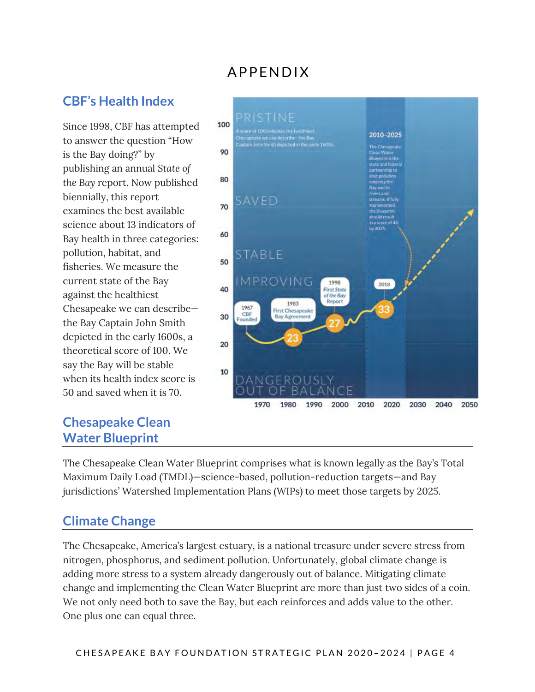### APPENDIX

### **CBF's Health Index**

Since 1998, CBF has attempted to answer the question "How is the Bay doing?" by publishing an annual *State of the Bay* report. Now published biennially, this report examines the best available science about 13 indicators of Bay health in three categories: pollution, habitat, and fisheries. We measure the current state of the Bay against the healthiest Chesapeake we can describe the Bay Captain John Smith depicted in the early 1600s, a theoretical score of 100. We say the Bay will be stable when its health index score is 50 and saved when it is 70.

### **Chesapeake Clean Water Blueprint**



The Chesapeake Clean Water Blueprint comprises what is known legally as the Bay's Total Maximum Daily Load (TMDL)—science-based, pollution-reduction targets—and Bay jurisdictions' Watershed Implementation Plans (WIPs) to meet those targets by 2025.

### **Climate Change**

The Chesapeake, America's largest estuary, is a national treasure under severe stress from nitrogen, phosphorus, and sediment pollution. Unfortunately, global climate change is adding more stress to a system already dangerously out of balance. Mitigating climate change and implementing the Clean Water Blueprint are more than just two sides of a coin. We not only need both to save the Bay, but each reinforces and adds value to the other. One plus one can equal three.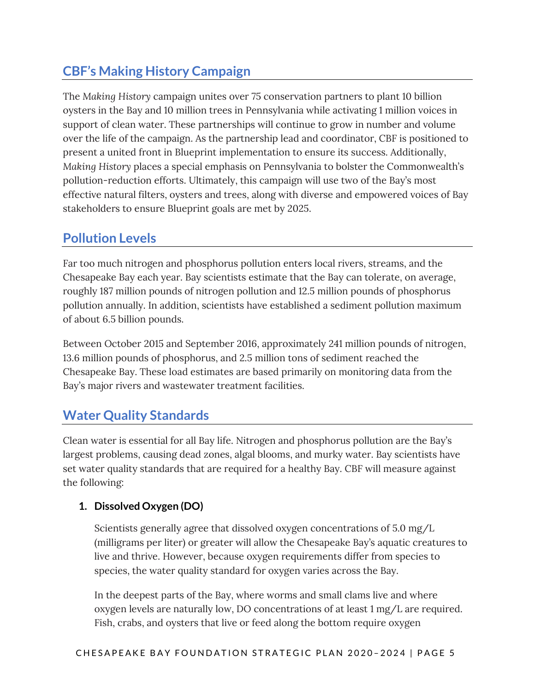### **CBF's Making History Campaign**

The *Making History* campaign unites over 75 conservation partners to plant 10 billion oysters in the Bay and 10 million trees in Pennsylvania while activating 1 million voices in support of clean water. These partnerships will continue to grow in number and volume over the life of the campaign. As the partnership lead and coordinator, CBF is positioned to present a united front in Blueprint implementation to ensure its success. Additionally, *Making History* places a special emphasis on Pennsylvania to bolster the Commonwealth's pollution-reduction efforts. Ultimately, this campaign will use two of the Bay's most effective natural filters, oysters and trees, along with diverse and empowered voices of Bay stakeholders to ensure Blueprint goals are met by 2025.

### **Pollution Levels**

Far too much nitrogen and phosphorus pollution enters local rivers, streams, and the Chesapeake Bay each year. Bay scientists estimate that the Bay can tolerate, on average, roughly 187 million pounds of nitrogen pollution and 12.5 million pounds of phosphorus pollution annually. In addition, scientists have established a sediment pollution maximum of about 6.5 billion pounds.

Between October 2015 and September 2016, approximately 241 million pounds of nitrogen, 13.6 million pounds of phosphorus, and 2.5 million tons of sediment reached the Chesapeake Bay. These load estimates are based primarily on monitoring data from the Bay's major rivers and wastewater treatment facilities.

### **Water Quality Standards**

Clean water is essential for all Bay life. Nitrogen and phosphorus pollution are the Bay's largest problems, causing dead zones, algal blooms, and murky water. Bay scientists have set water quality standards that are required for a healthy Bay. CBF will measure against the following:

### **1. Dissolved Oxygen (DO)**

Scientists generally agree that dissolved oxygen concentrations of 5.0 mg/L (milligrams per liter) or greater will allow the Chesapeake Bay's aquatic creatures to live and thrive. However, because oxygen requirements differ from species to species, the water quality standard for oxygen varies across the Bay.

In the deepest parts of the Bay, where worms and small clams live and where oxygen levels are naturally low, DO concentrations of at least 1 mg/L are required. Fish, crabs, and oysters that live or feed along the bottom require oxygen